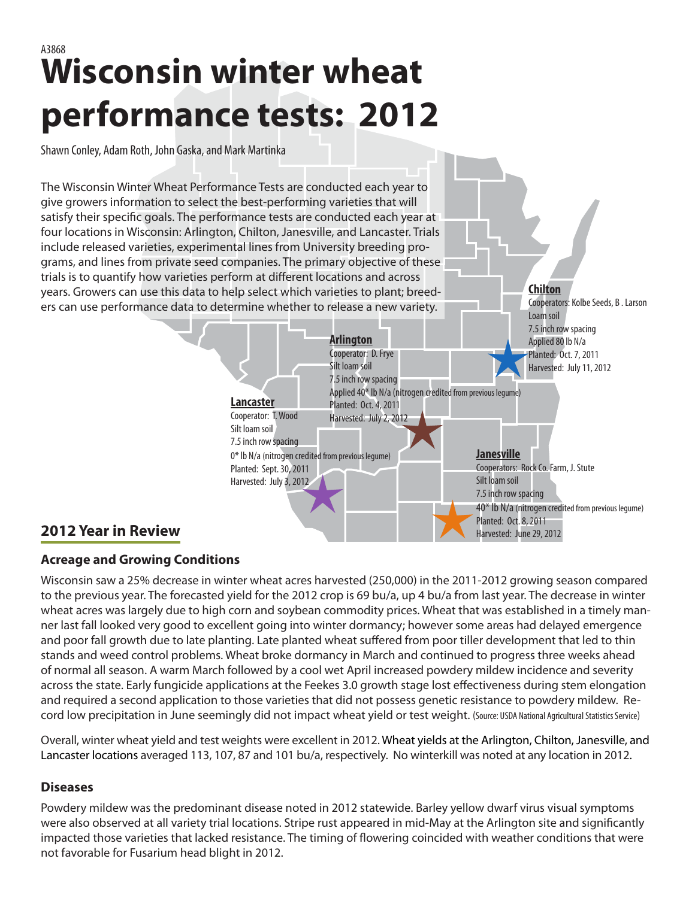# **Wisconsin winter wheat performance tests: 2012** A3868

Shawn Conley, Adam Roth, John Gaska, and Mark Martinka

The Wisconsin Winter Wheat Performance Tests are conducted each year to give growers information to select the best-performing varieties that will satisfy their specific goals. The performance tests are conducted each year at four locations in Wisconsin: Arlington, Chilton, Janesville, and Lancaster. Trials include released varieties, experimental lines from University breeding programs, and lines from private seed companies. The primary objective of these trials is to quantify how varieties perform at different locations and across years. Growers can use this data to help select which varieties to plant; breeders can use performance data to determine whether to release a new variety.



**Chilton**

Cooperators: Kolbe Seeds, B . Larson

## **Acreage and Growing Conditions**

Wisconsin saw a 25% decrease in winter wheat acres harvested (250,000) in the 2011-2012 growing season compared to the previous year. The forecasted yield for the 2012 crop is 69 bu/a, up 4 bu/a from last year. The decrease in winter wheat acres was largely due to high corn and soybean commodity prices. Wheat that was established in a timely manner last fall looked very good to excellent going into winter dormancy; however some areas had delayed emergence and poor fall growth due to late planting. Late planted wheat suffered from poor tiller development that led to thin stands and weed control problems. Wheat broke dormancy in March and continued to progress three weeks ahead of normal all season. A warm March followed by a cool wet April increased powdery mildew incidence and severity across the state. Early fungicide applications at the Feekes 3.0 growth stage lost effectiveness during stem elongation and required a second application to those varieties that did not possess genetic resistance to powdery mildew. Record low precipitation in June seemingly did not impact wheat yield or test weight. (Source: USDA National Agricultural Statistics Service)

Overall, winter wheat yield and test weights were excellent in 2012. Wheat yields at the Arlington, Chilton, Janesville, and Lancaster locations averaged 113, 107, 87 and 101 bu/a, respectively. No winterkill was noted at any location in 2012.

### **Diseases**

Powdery mildew was the predominant disease noted in 2012 statewide. Barley yellow dwarf virus visual symptoms were also observed at all variety trial locations. Stripe rust appeared in mid-May at the Arlington site and significantly impacted those varieties that lacked resistance. The timing of flowering coincided with weather conditions that were not favorable for Fusarium head blight in 2012.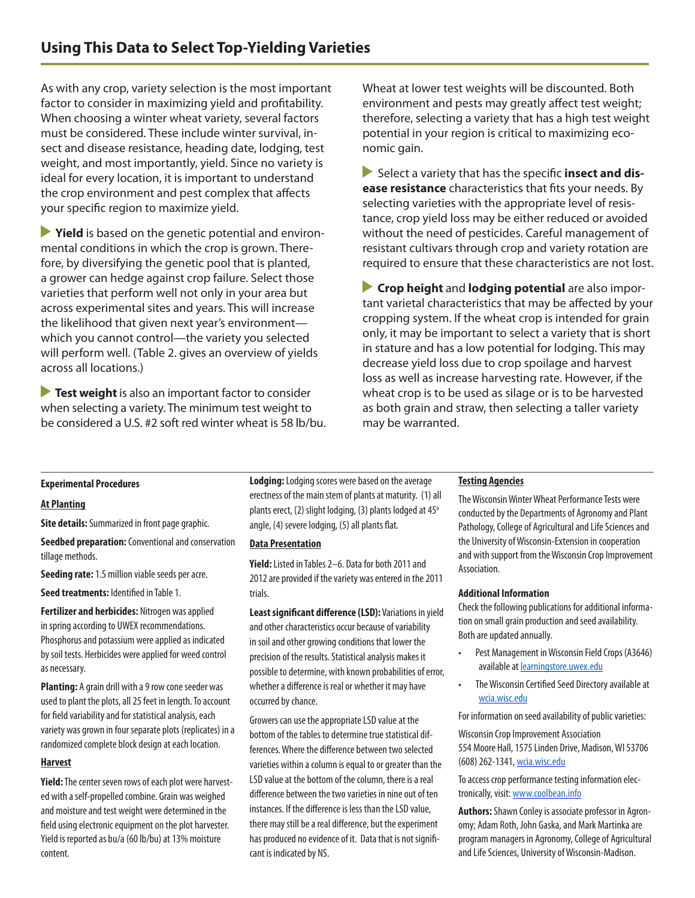As with any crop, variety selection is the most important factor to consider in maximizing yield and profitability. When choosing a winter wheat variety, several factors must be considered. These include winter survival, insect and disease resistance, heading date, lodging, test weight, and most importantly, yield. Since no variety is ideal for every location, it is important to understand the crop environment and pest complex that affects your specific region to maximize yield.

**Prield** is based on the genetic potential and environmental conditions in which the crop is grown. Therefore, by diversifying the genetic pool that is planted, a grower can hedge against crop failure. Select those varieties that perform well not only in your area but across experimental sites and years. This will increase the likelihood that given next year's environment which you cannot control—the variety you selected will perform well. (Table 2. gives an overview of yields across all locations.)

**Test weight** is also an important factor to consider when selecting a variety. The minimum test weight to be considered a U.S. #2 soft red winter wheat is 58 lb/bu. Wheat at lower test weights will be discounted. Both environment and pests may greatly affect test weight; therefore, selecting a variety that has a high test weight potential in your region is critical to maximizing economic gain.

**Select a variety that has the specific insect and disease resistance** characteristics that fits your needs. By selecting varieties with the appropriate level of resistance, crop yield loss may be either reduced or avoided without the need of pesticides. Careful management of resistant cultivars through crop and variety rotation are required to ensure that these characteristics are not lost.

 **Crop height** and **lodging potential** are also important varietal characteristics that may be affected by your cropping system. If the wheat crop is intended for grain only, it may be important to select a variety that is short in stature and has a low potential for lodging. This may decrease yield loss due to crop spoilage and harvest loss as well as increase harvesting rate. However, if the wheat crop is to be used as silage or is to be harvested as both grain and straw, then selecting a taller variety may be warranted.

#### **Experimental Procedures**

#### **At Planting**

**Site details:** Summarized in front page graphic.

**Seedbed preparation:** Conventional and conservation tillage methods.

**Seeding rate:** 1.5 million viable seeds per acre.

**Seed treatments:** Identified in Table 1.

**Fertilizer and herbicides:** Nitrogen was applied in spring according to UWEX recommendations. Phosphorus and potassium were applied as indicated by soil tests. Herbicides were applied for weed control as necessary.

**Planting:** A grain drill with a 9 row cone seeder was used to plant the plots, all 25 feet in length. To account for field variability and for statistical analysis, each variety was grown in four separate plots (replicates) in a randomized complete block design at each location.

#### **Harvest**

**Yield:** The center seven rows of each plot were harvested with a self-propelled combine. Grain was weighed and moisture and test weight were determined in the field using electronic equipment on the plot harvester. Yield is reported as bu/a (60 lb/bu) at 13% moisture content.

**Lodging:** Lodging scores were based on the average erectness of the main stem of plants at maturity. (1) all plants erect, (2) slight lodging, (3) plants lodged at  $45^{\circ}$ angle, (4) severe lodging, (5) all plants flat.

#### **Data Presentation**

**Yield:** Listed in Tables 2–6. Data for both 2011 and 2012 are provided if the variety was entered in the 2011 trials.

**Least significant difference (LSD):** Variations in yield and other characteristics occur because of variability in soil and other growing conditions that lower the precision of the results. Statistical analysis makes it possible to determine, with known probabilities of error, whether a difference is real or whether it may have occurred by chance.

Growers can use the appropriate LSD value at the bottom of the tables to determine true statistical differences. Where the difference between two selected varieties within a column is equal to or greater than the LSD value at the bottom of the column, there is a real difference between the two varieties in nine out of ten instances. If the difference is less than the LSD value, there may still be a real difference, but the experiment has produced no evidence of it. Data that is not significant is indicated by NS.

#### **Testing Agencies**

The Wisconsin Winter Wheat Performance Tests were conducted by the Departments of Agronomy and Plant Pathology, College of Agricultural and Life Sciences and the University of Wisconsin-Extension in cooperation and with support from the Wisconsin Crop Improvement Association.

#### **Additional Information**

Check the following publications for additional information on small grain production and seed availability. Both are updated annually.

- • Pest Management in Wisconsin Field Crops (A3646) available at [learningstore.uwex.edu](http://learningstore.uwex.edu)
- • The Wisconsin Certified Seed Directory available at [wcia.wisc.edu](http://wcia.wisc.edu
)

For information on seed availability of public varieties:

Wisconsin Crop Improvement Association 554 Moore Hall, 1575 Linden Drive, Madison, WI 53706 (608) 262-1341, [wcia.wisc.edu](wcia.wisc.edu
)

To access crop performance testing information electronically, visit: <www.coolbean.info>

**Authors:** Shawn Conley is associate professor in Agronomy; Adam Roth, John Gaska, and Mark Martinka are program managers in Agronomy, College of Agricultural and Life Sciences, University of Wisconsin-Madison.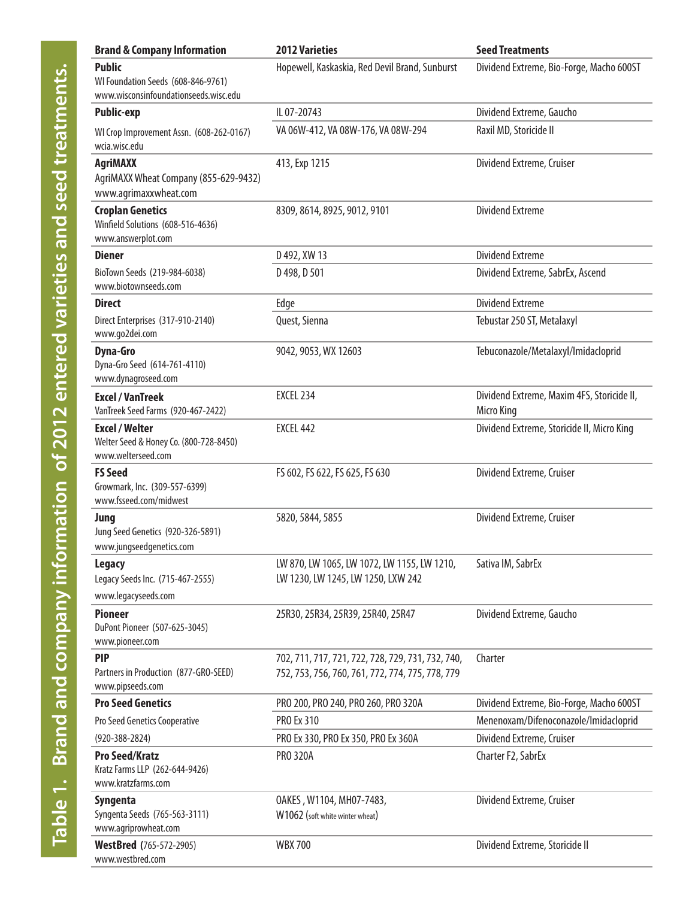| <b>Brand &amp; Company Information</b>                                                       | <b>2012 Varieties</b>                                                                                 | <b>Seed Treatments</b>                                   |
|----------------------------------------------------------------------------------------------|-------------------------------------------------------------------------------------------------------|----------------------------------------------------------|
| <b>Public</b><br>WI Foundation Seeds (608-846-9761)<br>www.wisconsinfoundationseeds.wisc.edu | Hopewell, Kaskaskia, Red Devil Brand, Sunburst                                                        | Dividend Extreme, Bio-Forge, Macho 600ST                 |
| <b>Public-exp</b>                                                                            | IL 07-20743                                                                                           | Dividend Extreme, Gaucho                                 |
| WI Crop Improvement Assn. (608-262-0167)<br>wcia.wisc.edu                                    | VA 06W-412, VA 08W-176, VA 08W-294                                                                    | Raxil MD, Storicide II                                   |
| <b>AgriMAXX</b><br>AgriMAXX Wheat Company (855-629-9432)<br>www.agrimaxxwheat.com            | 413, Exp 1215                                                                                         | Dividend Extreme, Cruiser                                |
| <b>Croplan Genetics</b><br>Winfield Solutions (608-516-4636)<br>www.answerplot.com           | 8309, 8614, 8925, 9012, 9101                                                                          | <b>Dividend Extreme</b>                                  |
| <b>Diener</b>                                                                                | D 492, XW 13                                                                                          | <b>Dividend Extreme</b>                                  |
| BioTown Seeds (219-984-6038)<br>www.biotownseeds.com                                         | D 498, D 501                                                                                          | Dividend Extreme, SabrEx, Ascend                         |
| <b>Direct</b>                                                                                | Edge                                                                                                  | <b>Dividend Extreme</b>                                  |
| Direct Enterprises (317-910-2140)<br>www.go2dei.com                                          | Quest, Sienna                                                                                         | Tebustar 250 ST, Metalaxyl                               |
| <b>Dyna-Gro</b><br>Dyna-Gro Seed (614-761-4110)<br>www.dynagroseed.com                       | 9042, 9053, WX 12603                                                                                  | Tebuconazole/Metalaxyl/Imidacloprid                      |
| <b>Excel / VanTreek</b><br>VanTreek Seed Farms (920-467-2422)                                | <b>EXCEL 234</b>                                                                                      | Dividend Extreme, Maxim 4FS, Storicide II,<br>Micro King |
| <b>Excel / Welter</b><br>Welter Seed & Honey Co. (800-728-8450)<br>www.welterseed.com        | EXCEL 442                                                                                             | Dividend Extreme, Storicide II, Micro King               |
| <b>FS Seed</b><br>Growmark, Inc. (309-557-6399)<br>www.fsseed.com/midwest                    | FS 602, FS 622, FS 625, FS 630                                                                        | Dividend Extreme, Cruiser                                |
| Jung<br>Jung Seed Genetics (920-326-5891)<br>www.jungseedgenetics.com                        | 5820, 5844, 5855                                                                                      | Dividend Extreme, Cruiser                                |
| Legacy<br>Legacy Seeds Inc. (715-467-2555)<br>www.legacyseeds.com                            | LW 870, LW 1065, LW 1072, LW 1155, LW 1210,<br>LW 1230, LW 1245, LW 1250, LXW 242                     | Sativa IM, SabrEx                                        |
| <b>Pioneer</b><br>DuPont Pioneer (507-625-3045)<br>www.pioneer.com                           | 25R30, 25R34, 25R39, 25R40, 25R47                                                                     | Dividend Extreme, Gaucho                                 |
| <b>PIP</b><br>Partners in Production (877-GRO-SEED)<br>www.pipseeds.com                      | 702, 711, 717, 721, 722, 728, 729, 731, 732, 740,<br>752, 753, 756, 760, 761, 772, 774, 775, 778, 779 | Charter                                                  |
| <b>Pro Seed Genetics</b>                                                                     | PRO 200, PRO 240, PRO 260, PRO 320A                                                                   | Dividend Extreme, Bio-Forge, Macho 600ST                 |
| Pro Seed Genetics Cooperative                                                                | <b>PRO Ex 310</b>                                                                                     | Menenoxam/Difenoconazole/Imidacloprid                    |
| $(920 - 388 - 2824)$                                                                         | PRO Ex 330, PRO Ex 350, PRO Ex 360A                                                                   | Dividend Extreme, Cruiser                                |
| <b>Pro Seed/Kratz</b><br>Kratz Farms LLP (262-644-9426)<br>www.kratzfarms.com                | <b>PRO 320A</b>                                                                                       | Charter F2, SabrEx                                       |
| Syngenta<br>Syngenta Seeds (765-563-3111)<br>www.agriprowheat.com                            | OAKES, W1104, MH07-7483,<br>W1062 (soft white winter wheat)                                           | Dividend Extreme, Cruiser                                |
| <b>WestBred</b> (765-572-2905)<br>www.westbred.com                                           | <b>WBX700</b>                                                                                         | Dividend Extreme, Storicide II                           |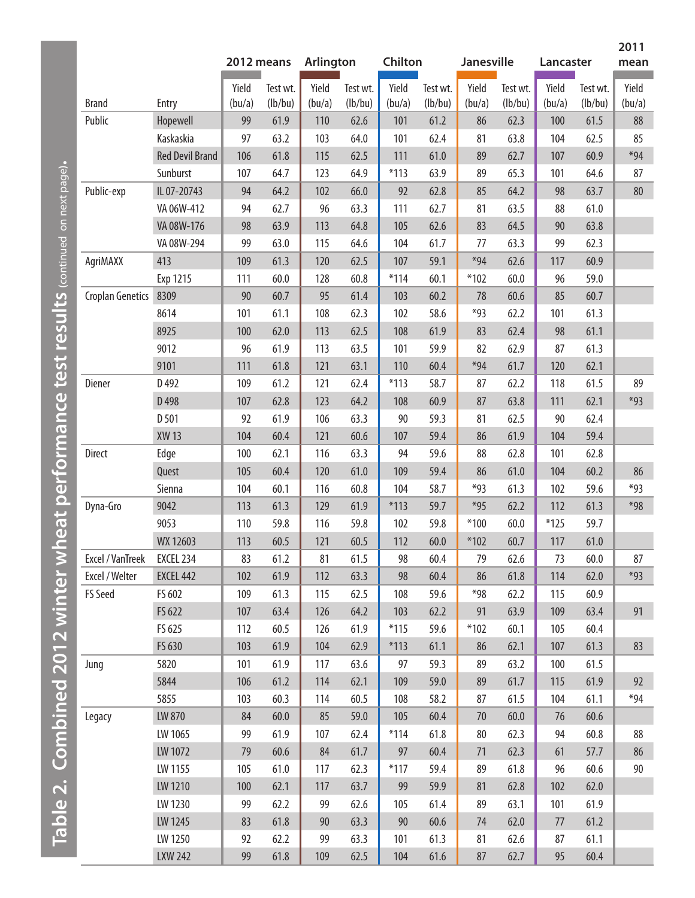|                         |                        | 2012 means |          | <b>Arlington</b> |          | Chilton |          | <b>Janesville</b> |          | Lancaster |          | mean            |
|-------------------------|------------------------|------------|----------|------------------|----------|---------|----------|-------------------|----------|-----------|----------|-----------------|
|                         |                        | Yield      | Test wt. | Yield            | Test wt. | Yield   | Test wt. | Yield             | Test wt. | Yield     | Test wt. | Yield           |
| <b>Brand</b>            | Entry                  | (bu/a)     | (lb/bu)  | (bu/a)           | (lb/bu)  | (bu/a)  | (lb/bu)  | (bu/a)            | (lb/bu)  | (bu/a)    | (lb/bu)  | (bu/a)          |
| Public                  | Hopewell               | 99         | 61.9     | 110              | 62.6     | 101     | 61.2     | 86                | 62.3     | 100       | 61.5     | 88              |
|                         | Kaskaskia              | 97         | 63.2     | 103              | 64.0     | 101     | 62.4     | 81                | 63.8     | 104       | 62.5     | 85              |
|                         | <b>Red Devil Brand</b> | 106        | 61.8     | 115              | 62.5     | 111     | 61.0     | 89                | 62.7     | 107       | 60.9     | $*94$           |
|                         | Sunburst               | 107        | 64.7     | 123              | 64.9     | $*113$  | 63.9     | 89                | 65.3     | 101       | 64.6     | 87              |
| Public-exp              | IL 07-20743            | 94         | 64.2     | 102              | 66.0     | 92      | 62.8     | 85                | 64.2     | 98        | 63.7     | 80 <sub>°</sub> |
|                         | VA 06W-412             | 94         | 62.7     | 96               | 63.3     | 111     | 62.7     | 81                | 63.5     | 88        | 61.0     |                 |
|                         | VA 08W-176             | 98         | 63.9     | 113              | 64.8     | 105     | 62.6     | 83                | 64.5     | 90        | 63.8     |                 |
|                         | VA 08W-294             | 99         | 63.0     | 115              | 64.6     | 104     | 61.7     | 77                | 63.3     | 99        | 62.3     |                 |
| AgriMAXX                | 413                    | 109        | 61.3     | 120              | 62.5     | 107     | 59.1     | $*94$             | 62.6     | 117       | 60.9     |                 |
|                         | Exp 1215               | 111        | 60.0     | 128              | 60.8     | $*114$  | 60.1     | $*102$            | 60.0     | 96        | 59.0     |                 |
| <b>Croplan Genetics</b> | 8309                   | 90         | 60.7     | 95               | 61.4     | 103     | 60.2     | 78                | 60.6     | 85        | 60.7     |                 |
|                         | 8614                   | 101        | 61.1     | 108              | 62.3     | 102     | 58.6     | $*93$             | 62.2     | 101       | 61.3     |                 |
|                         | 8925                   | 100        | 62.0     | 113              | 62.5     | 108     | 61.9     | 83                | 62.4     | 98        | 61.1     |                 |
|                         | 9012                   | 96         | 61.9     | 113              | 63.5     | 101     | 59.9     | 82                | 62.9     | 87        | 61.3     |                 |
|                         | 9101                   | 111        | 61.8     | 121              | 63.1     | 110     | 60.4     | $*94$             | 61.7     | 120       | 62.1     |                 |
| Diener                  | D 492                  | 109        | 61.2     | 121              | 62.4     | $*113$  | 58.7     | 87                | 62.2     | 118       | 61.5     | 89              |
|                         | D 498                  | 107        | 62.8     | 123              | 64.2     | 108     | 60.9     | 87                | 63.8     | 111       | 62.1     | $*93$           |
|                         | D 501                  | 92         | 61.9     | 106              | 63.3     | 90      | 59.3     | 81                | 62.5     | 90        | 62.4     |                 |
|                         | <b>XW13</b>            | 104        | 60.4     | 121              | 60.6     | 107     | 59.4     | 86                | 61.9     | 104       | 59.4     |                 |
| Direct                  | Edge                   | 100        | 62.1     | 116              | 63.3     | 94      | 59.6     | 88                | 62.8     | 101       | 62.8     |                 |
|                         | Quest                  | 105        | 60.4     | 120              | 61.0     | 109     | 59.4     | 86                | 61.0     | 104       | 60.2     | 86              |
|                         | Sienna                 | 104        | 60.1     | 116              | 60.8     | 104     | 58.7     | $*93$             | 61.3     | 102       | 59.6     | $*93$           |
| Dyna-Gro                | 9042                   | 113        | 61.3     | 129              | 61.9     | $*113$  | 59.7     | $*95$             | 62.2     | 112       | 61.3     | $*98$           |
|                         | 9053                   | 110        | 59.8     | 116              | 59.8     | 102     | 59.8     | $*100$            | 60.0     | $*125$    | 59.7     |                 |
|                         | WX 12603               | 113        | 60.5     | 121              | 60.5     | 112     | 60.0     | $*102$            | 60.7     | 117       | 61.0     |                 |
| Excel / VanTreek        | EXCEL 234              | 83         | 61.2     | 81               | 61.5     | 98      | 60.4     | 79                | 62.6     | 73        | 60.0     | 87              |
| Excel / Welter          | EXCEL 442              | 102        | 61.9     | 112              | 63.3     | 98      | 60.4     | 86                | 61.8     | 114       | 62.0     | $*93$           |
| FS Seed                 | FS 602                 | 109        | 61.3     | 115              | 62.5     | 108     | 59.6     | $*98$             | 62.2     | 115       | 60.9     |                 |
|                         | FS 622                 | 107        | 63.4     | 126              | 64.2     | 103     | 62.2     | 91                | 63.9     | 109       | 63.4     | 91              |
|                         | FS 625                 | 112        | 60.5     | 126              | 61.9     | $*115$  | 59.6     | $*102$            | 60.1     | 105       | 60.4     |                 |
|                         | FS 630                 | 103        | 61.9     | 104              | 62.9     | $*113$  | 61.1     | 86                | 62.1     | 107       | 61.3     | 83              |
| Jung                    | 5820                   | 101        | 61.9     | 117              | 63.6     | 97      | 59.3     | 89                | 63.2     | 100       | 61.5     |                 |
|                         | 5844                   | 106        | 61.2     | 114              | 62.1     | 109     | 59.0     | 89                | 61.7     | 115       | 61.9     | 92              |
|                         | 5855                   | 103        | 60.3     | 114              | 60.5     | 108     | 58.2     | 87                | 61.5     | 104       | 61.1     | $*94$           |
| Legacy                  | LW 870                 | 84         | 60.0     | 85               | 59.0     | 105     | 60.4     | 70                | 60.0     | 76        | 60.6     |                 |
|                         | LW 1065                | 99         | 61.9     | 107              | 62.4     | $*114$  | 61.8     | 80                | 62.3     | 94        | 60.8     | 88              |
|                         | LW 1072                | 79         | 60.6     | 84               | 61.7     | 97      | 60.4     | 71                | 62.3     | 61        | 57.7     | 86              |
|                         | LW 1155                | 105        | 61.0     | 117              | 62.3     | $*117$  | 59.4     | 89                | 61.8     | 96        | 60.6     | 90              |
|                         | LW 1210                | 100        | 62.1     | 117              | 63.7     | 99      | 59.9     | 81                | 62.8     | 102       | 62.0     |                 |
|                         | LW 1230                | 99         | 62.2     | 99               | 62.6     | 105     | 61.4     | 89                | 63.1     | 101       | 61.9     |                 |
|                         | LW 1245                | 83         | 61.8     | 90               | 63.3     | 90      | 60.6     | 74                | 62.0     | 77        | 61.2     |                 |
|                         | LW 1250                | 92         | 62.2     | 99               | 63.3     | 101     | 61.3     | 81                | 62.6     | 87        | 61.1     |                 |
|                         | <b>LXW 242</b>         | 99         | 61.8     | 109              | 62.5     | 104     | 61.6     | 87                | 62.7     | 95        | 60.4     |                 |

Table 2. Combined 2012 winter wheat performance test results (continued on next page). **Table 2. Combined 2012 winter wheat performance test results (**continued on next page**).** **2011**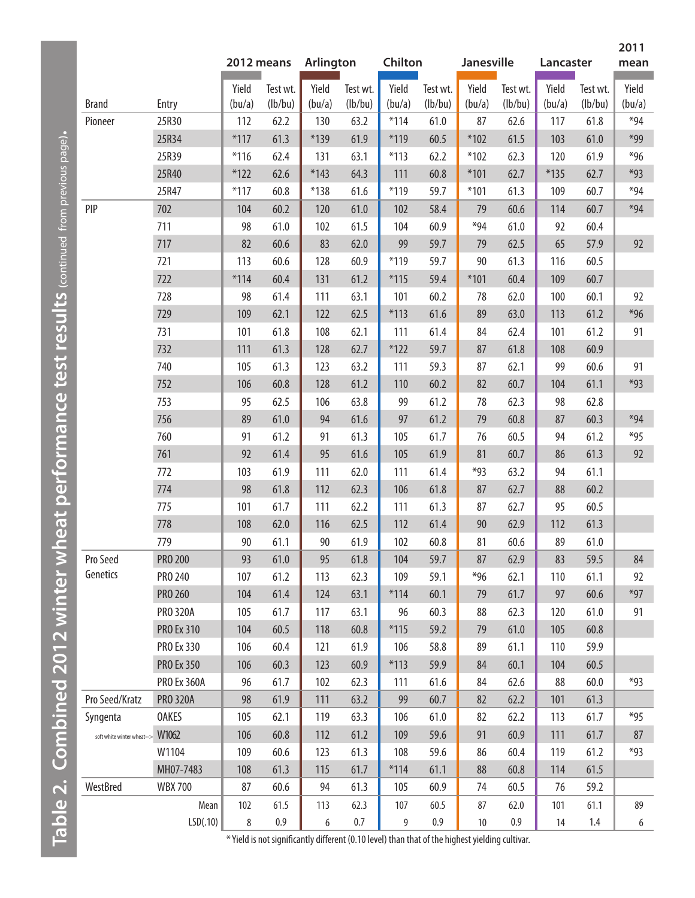|                            |                    |            |          |                  |          |         |          |            |          |           |          | 2011   |
|----------------------------|--------------------|------------|----------|------------------|----------|---------|----------|------------|----------|-----------|----------|--------|
|                            |                    | 2012 means |          | <b>Arlington</b> |          | Chilton |          | Janesville |          | Lancaster |          | mean   |
|                            |                    | Yield      | Test wt. | Yield            | Test wt. | Yield   | Test wt. | Yield      | Test wt. | Yield     | Test wt. | Yield  |
| <b>Brand</b>               | Entry              | (bu/a)     | (lb/bu)  | (bu/a)           | (lb/bu)  | (bu/a)  | (lb/bu)  | (bu/a)     | (lb/bu)  | (bu/a)    | (lb/bu)  | (bu/a) |
| Pioneer                    | 25R30              | 112        | 62.2     | 130              | 63.2     | $*114$  | 61.0     | 87         | 62.6     | 117       | 61.8     | $*94$  |
|                            | 25R34              | $*117$     | 61.3     | $*139$           | 61.9     | $*119$  | 60.5     | $*102$     | 61.5     | 103       | 61.0     | $*99$  |
|                            | 25R39              | $*116$     | 62.4     | 131              | 63.1     | $*113$  | 62.2     | $*102$     | 62.3     | 120       | 61.9     | $*96$  |
|                            | 25R40              | $*122$     | 62.6     | $*143$           | 64.3     | 111     | 60.8     | $*101$     | 62.7     | $*135$    | 62.7     | $*93$  |
|                            | 25R47              | $*117$     | 60.8     | $*138$           | 61.6     | $*119$  | 59.7     | $*101$     | 61.3     | 109       | 60.7     | $*94$  |
| PIP                        | 702                | 104        | 60.2     | 120              | 61.0     | 102     | 58.4     | 79         | 60.6     | 114       | 60.7     | $*94$  |
|                            | 711                | 98         | 61.0     | 102              | 61.5     | 104     | 60.9     | $*94$      | 61.0     | 92        | 60.4     |        |
|                            | 717                | 82         | 60.6     | 83               | 62.0     | 99      | 59.7     | 79         | 62.5     | 65        | 57.9     | 92     |
|                            | 721                | 113        | 60.6     | 128              | 60.9     | $*119$  | 59.7     | 90         | 61.3     | 116       | 60.5     |        |
|                            | 722                | $*114$     | 60.4     | 131              | 61.2     | $*115$  | 59.4     | $*101$     | 60.4     | 109       | 60.7     |        |
|                            | 728                | 98         | 61.4     | 111              | 63.1     | 101     | 60.2     | 78         | 62.0     | 100       | 60.1     | 92     |
|                            | 729                | 109        | 62.1     | 122              | 62.5     | $*113$  | 61.6     | 89         | 63.0     | 113       | 61.2     | $*96$  |
|                            | 731                | 101        | 61.8     | 108              | 62.1     | 111     | 61.4     | 84         | 62.4     | 101       | 61.2     | 91     |
|                            | 732                | 111        | 61.3     | 128              | 62.7     | $*122$  | 59.7     | 87         | 61.8     | 108       | 60.9     |        |
|                            | 740                | 105        | 61.3     | 123              | 63.2     | 111     | 59.3     | 87         | 62.1     | 99        | 60.6     | 91     |
|                            | 752                | 106        | 60.8     | 128              | 61.2     | 110     | 60.2     | 82         | 60.7     | 104       | 61.1     | $*93$  |
|                            | 753                | 95         | 62.5     | 106              | 63.8     | 99      | 61.2     | 78         | 62.3     | 98        | 62.8     |        |
|                            | 756                | 89         | 61.0     | 94               | 61.6     | 97      | 61.2     | 79         | 60.8     | 87        | 60.3     | $*94$  |
|                            | 760                | 91         | 61.2     | 91               | 61.3     | 105     | 61.7     | 76         | 60.5     | 94        | 61.2     | $*95$  |
|                            | 761                | 92         | 61.4     | 95               | 61.6     | 105     | 61.9     | 81         | 60.7     | 86        | 61.3     | 92     |
|                            | 772                | 103        | 61.9     | 111              | 62.0     | 111     | 61.4     | $*93$      | 63.2     | 94        | 61.1     |        |
|                            | 774                | 98         | 61.8     | 112              | 62.3     | 106     | 61.8     | 87         | 62.7     | 88        | 60.2     |        |
|                            | 775                | 101        | 61.7     | 111              | 62.2     | 111     | 61.3     | 87         | 62.7     | 95        | 60.5     |        |
|                            | 778                | 108        | 62.0     | 116              | 62.5     | 112     | 61.4     | 90         | 62.9     | 112       | 61.3     |        |
|                            | 779                | 90         | 61.1     | 90               | 61.9     | 102     | 60.8     | 81         | 60.6     | 89        | 61.0     |        |
| Pro Seed                   | <b>PRO 200</b>     | 93         | 61.0     | 95               | 61.8     | 104     | 59.7     | 87         | 62.9     | 83        | 59.5     | 84     |
| Genetics                   | PRO 240            | 107        | 61.2     | 113              | 62.3     | 109     | 59.1     | $*96$      | 62.1     | 110       | 61.1     | 92     |
|                            | PRO 260            | 104        | 61.4     | 124              | 63.1     | $*114$  | 60.1     | 79         | 61.7     | 97        | 60.6     | $*97$  |
|                            | <b>PRO 320A</b>    | 105        | 61.7     | 117              | 63.1     | 96      | 60.3     | 88         | 62.3     | 120       | 61.0     | 91     |
|                            | <b>PRO Ex 310</b>  | 104        | 60.5     | 118              | 60.8     | $*115$  | 59.2     | 79         | 61.0     | 105       | 60.8     |        |
|                            | <b>PRO Ex 330</b>  | 106        | 60.4     | 121              | 61.9     | 106     | 58.8     | 89         | 61.1     | 110       | 59.9     |        |
|                            | <b>PRO Ex 350</b>  | 106        | 60.3     | 123              | 60.9     | $*113$  | 59.9     | 84         | 60.1     | 104       | 60.5     |        |
|                            | <b>PRO Ex 360A</b> | 96         | 61.7     | 102              | 62.3     | 111     | 61.6     | 84         | 62.6     | 88        | 60.0     | $*93$  |
| Pro Seed/Kratz             | <b>PRO 320A</b>    | 98         | 61.9     | 111              | 63.2     | 99      | 60.7     | 82         | 62.2     | 101       | 61.3     |        |
| Syngenta                   | <b>OAKES</b>       | 105        | 62.1     | 119              | 63.3     | 106     | 61.0     | 82         | 62.2     | 113       | 61.7     | $*95$  |
| soft white winter wheat--> | W1062              | 106        | 60.8     | 112              | 61.2     | 109     | 59.6     | 91         | 60.9     | 111       | 61.7     | 87     |
|                            | W1104              | 109        | 60.6     | 123              | 61.3     | 108     | 59.6     | 86         | 60.4     | 119       | 61.2     | $*93$  |
|                            | MH07-7483          | 108        | 61.3     | 115              | 61.7     | $*114$  | 61.1     | 88         | 60.8     | 114       | 61.5     |        |
| WestBred                   | <b>WBX700</b>      | 87         | 60.6     | 94               | 61.3     | 105     | 60.9     | 74         | 60.5     | 76        | 59.2     |        |
|                            | Mean               | 102        | 61.5     | 113              | 62.3     | 107     | 60.5     | 87         | 62.0     | 101       | 61.1     | 89     |
|                            | LSD(.10)           | 8          | $0.9\,$  | 6                | $0.7\,$  | 9       | 0.9      | 10         | 0.9      | 14        | $1.4\,$  | 6      |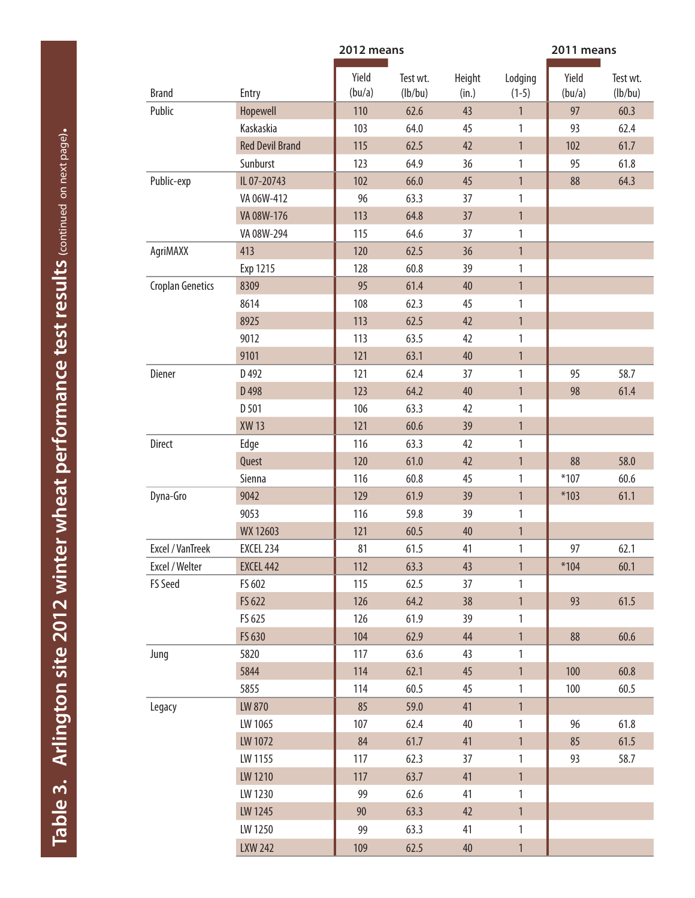<span id="page-5-0"></span>

|                         |                        | 2012 means      |                     | 2011 means      |                    |                 |                     |
|-------------------------|------------------------|-----------------|---------------------|-----------------|--------------------|-----------------|---------------------|
| <b>Brand</b>            | Entry                  | Yield<br>(bu/a) | Test wt.<br>(lb/bu) | Height<br>(in.) | Lodging<br>$(1-5)$ | Yield<br>(bu/a) | Test wt.<br>(lb/bu) |
| Public                  | Hopewell               | 110             | 62.6                | 43              | $\mathbf{1}$       | 97              | 60.3                |
|                         | Kaskaskia              | 103             | 64.0                | 45              | 1                  | 93              | 62.4                |
|                         | <b>Red Devil Brand</b> | 115             | 62.5                | 42              | $\mathbf{1}$       | 102             | 61.7                |
|                         | Sunburst               | 123             | 64.9                | 36              | 1                  | 95              | 61.8                |
| Public-exp              | IL 07-20743            | 102             | 66.0                | 45              | $\mathbf{1}$       | 88              | 64.3                |
|                         | VA 06W-412             | 96              | 63.3                | 37              | 1                  |                 |                     |
|                         | VA 08W-176             | 113             | 64.8                | 37              | $\mathbf{1}$       |                 |                     |
|                         | VA 08W-294             | 115             | 64.6                | 37              | 1                  |                 |                     |
| AgriMAXX                | 413                    | 120             | 62.5                | 36              | $\mathbf{1}$       |                 |                     |
|                         | Exp 1215               | 128             | 60.8                | 39              | 1                  |                 |                     |
| <b>Croplan Genetics</b> | 8309                   | 95              | 61.4                | 40              | $\mathbf{1}$       |                 |                     |
|                         | 8614                   | 108             | 62.3                | 45              | 1                  |                 |                     |
|                         | 8925                   | 113             | 62.5                | 42              | $\mathbf{1}$       |                 |                     |
|                         | 9012                   | 113             | 63.5                | 42              | 1                  |                 |                     |
|                         | 9101                   | 121             | 63.1                | 40              | $\mathbf{1}$       |                 |                     |
| Diener                  | D <sub>492</sub>       | 121             | 62.4                | 37              | 1                  | 95              | 58.7                |
|                         | D 498                  | 123             | 64.2                | 40              | $\mathbf{1}$       | 98              | 61.4                |
|                         | D 501                  | 106             | 63.3                | 42              | 1                  |                 |                     |
|                         | <b>XW13</b>            | 121             | 60.6                | 39              | $\mathbf{1}$       |                 |                     |
| Direct                  | Edge                   | 116             | 63.3                | 42              | 1                  |                 |                     |
|                         | Quest                  | 120             | 61.0                | 42              | $\mathbf{1}$       | 88              | 58.0                |
|                         | Sienna                 | 116             | 60.8                | 45              | 1                  | $*107$          | 60.6                |
| Dyna-Gro                | 9042                   | 129             | 61.9                | 39              | $\mathbf{1}$       | $*103$          | 61.1                |
|                         | 9053                   | 116             | 59.8                | 39              | 1                  |                 |                     |
|                         | WX 12603               | 121             | 60.5                | 40              | $\mathbf{1}$       |                 |                     |
| Excel / VanTreek        | EXCEL 234              | 81              | 61.5                | 41              | 1                  | 97              | 62.1                |
| Excel / Welter          | EXCEL 442              | 112             | 63.3                | 43              | $\mathbf{1}$       | $*104$          | 60.1                |
| <b>FS Seed</b>          | FS 602                 | 115             | 62.5                | 37              | 1                  |                 |                     |
|                         | FS 622                 | 126             | 64.2                | 38              | $\mathbf{1}$       | 93              | 61.5                |
|                         | FS 625                 | 126             | 61.9                | 39              | 1                  |                 |                     |
|                         | FS 630                 | 104             | 62.9                | 44              | $\mathbf{1}$       | 88              | 60.6                |
| Jung                    | 5820                   | 117             | 63.6                | 43              | $\mathbf{1}$       |                 |                     |
|                         | 5844                   | 114             | 62.1                | 45              | $\mathbf{1}$       | 100             | 60.8                |
|                         | 5855                   | 114             | 60.5                | 45              | $\mathbf{1}$       | 100             | 60.5                |
| Legacy                  | LW 870                 | 85              | 59.0                | 41              | $\mathbf{1}$       |                 |                     |
|                         | LW 1065                | 107             | 62.4                | 40              | $\mathbf{1}$       | 96              | 61.8                |
|                         | LW 1072                | 84              | 61.7                | 41              | $\mathbf{1}$       | 85              | 61.5                |
|                         | LW 1155                | 117             | 62.3                | 37              | 1                  | 93              | 58.7                |
|                         | LW 1210                | 117             | 63.7                | 41              | $\mathbf{1}$       |                 |                     |
|                         | LW 1230                | 99              | 62.6                | 41              | 1                  |                 |                     |
|                         | LW 1245                | $90\,$          | 63.3                | 42              | $\mathbf{1}$       |                 |                     |
|                         | LW 1250                | 99              | 63.3                | 41              | 1                  |                 |                     |
|                         | <b>LXW 242</b>         | 109             | 62.5                | 40              | $\mathbf{1}$       |                 |                     |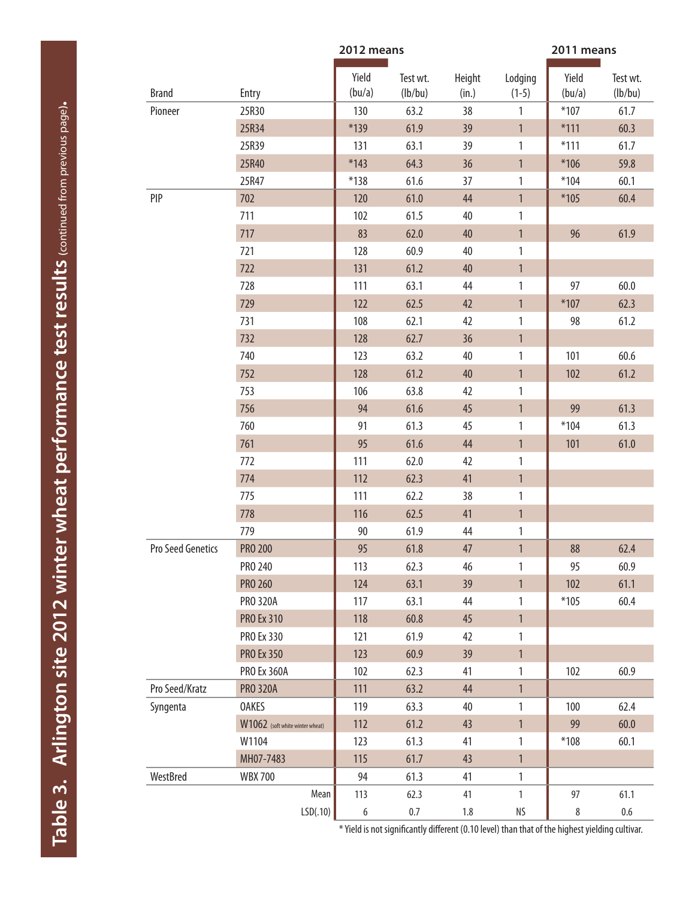|                   |                                 | 2011 means      |                     |                 |                    |                 |                     |
|-------------------|---------------------------------|-----------------|---------------------|-----------------|--------------------|-----------------|---------------------|
| <b>Brand</b>      | Entry                           | Yield<br>(bu/a) | Test wt.<br>(lb/bu) | Height<br>(in.) | Lodging<br>$(1-5)$ | Yield<br>(bu/a) | Test wt.<br>(lb/bu) |
| Pioneer           | 25R30                           | 130             | 63.2                | 38              | 1                  | $*107$          | 61.7                |
|                   | 25R34                           | *139            | 61.9                | 39              | $\mathbf{1}$       | $*111$          | 60.3                |
|                   | 25R39                           | 131             | 63.1                | 39              | 1                  | $*111$          | 61.7                |
|                   | 25R40                           | $*143$          | 64.3                | 36              | $\mathbf{1}$       | $*106$          | 59.8                |
|                   | 25R47                           | $*138$          | 61.6                | 37              | 1                  | $*104$          | 60.1                |
| PIP               | 702                             | 120             | 61.0                | 44              | $\mathbf{1}$       | $*105$          | 60.4                |
|                   | 711                             | 102             | 61.5                | 40              | 1                  |                 |                     |
|                   | 717                             | 83              | 62.0                | 40              | $\mathbf{1}$       | 96              | 61.9                |
|                   | 721                             | 128             | 60.9                | 40              | 1                  |                 |                     |
|                   | 722                             | 131             | 61.2                | 40              | $\mathbf{1}$       |                 |                     |
|                   | 728                             | 111             | 63.1                | 44              | 1                  | 97              | 60.0                |
|                   | 729                             | 122             | 62.5                | 42              | $\mathbf{1}$       | $*107$          | 62.3                |
|                   | 731                             | 108             | 62.1                | 42              | 1                  | 98              | 61.2                |
|                   | 732                             | 128             | 62.7                | 36              | $\mathbf{1}$       |                 |                     |
|                   | 740                             | 123             | 63.2                | 40              | 1                  | 101             | 60.6                |
|                   | 752                             | 128             | 61.2                | 40              | $\mathbf{1}$       | 102             | 61.2                |
|                   | 753                             | 106             | 63.8                | 42              | $\mathbf{1}$       |                 |                     |
|                   | 756                             | 94              | 61.6                | 45              | $\mathbf{1}$       | 99              | 61.3                |
|                   | 760                             | 91              | 61.3                | 45              | 1                  | $*104$          | 61.3                |
|                   | 761                             | 95              | 61.6                | 44              | $\mathbf{1}$       | 101             | 61.0                |
|                   | 772                             | 111             | 62.0                | 42              | 1                  |                 |                     |
|                   | 774                             | 112             | 62.3                | 41              | $\mathbf{1}$       |                 |                     |
|                   | 775                             | 111             | 62.2                | 38              | 1                  |                 |                     |
|                   | 778                             | 116             | 62.5                | 41              | $\mathbf{1}$       |                 |                     |
|                   | 779                             | 90              | 61.9                | 44              | $\mathbf{1}$       |                 |                     |
| Pro Seed Genetics | <b>PRO 200</b>                  | 95              | 61.8                | 47              | $\mathbf{1}$       | 88              | 62.4                |
|                   | PRO 240                         | 113             | 62.3                | 46              | 1                  | 95              | 60.9                |
|                   | <b>PRO 260</b>                  | 124             | 63.1                | 39              | $\mathbf{1}$       | 102             | 61.1                |
|                   | <b>PRO 320A</b>                 | 117             | 63.1                | 44              | 1                  | $*105$          | 60.4                |
|                   | <b>PRO Ex 310</b>               | 118             | 60.8                | 45              | $\mathbf{1}$       |                 |                     |
|                   | PRO Ex 330                      | 121             | 61.9                | 42              | 1                  |                 |                     |
|                   | <b>PRO Ex 350</b>               | 123             | 60.9                | 39              | $\mathbf{1}$       |                 |                     |
|                   | <b>PRO Ex 360A</b>              | 102             | 62.3                | 41              | 1                  | 102             | 60.9                |
| Pro Seed/Kratz    | <b>PRO 320A</b>                 | 111             | 63.2                | 44              | $\mathbf{1}$       |                 |                     |
| Syngenta          | <b>OAKES</b>                    | 119             | 63.3                | 40              | 1                  | 100             | 62.4                |
|                   | W1062 (soft white winter wheat) | 112             | 61.2                | 43              | 1                  | 99              | 60.0                |
|                   | W1104                           | 123             | 61.3                | 41              | 1                  | $*108$          | 60.1                |
|                   | MH07-7483                       | 115             | 61.7                | 43              | $\mathbf{1}$       |                 |                     |
| WestBred          | <b>WBX700</b>                   | 94              | 61.3                | 41              | 1                  |                 |                     |
|                   | Mean                            | 113             | 62.3                | 41              | 1                  | 97              | 61.1                |
|                   | LSD(.10)                        | 6               | $0.7\,$             | $1.8\,$         | ΝS                 | 8               | $0.6\,$             |
|                   |                                 |                 |                     |                 |                    |                 |                     |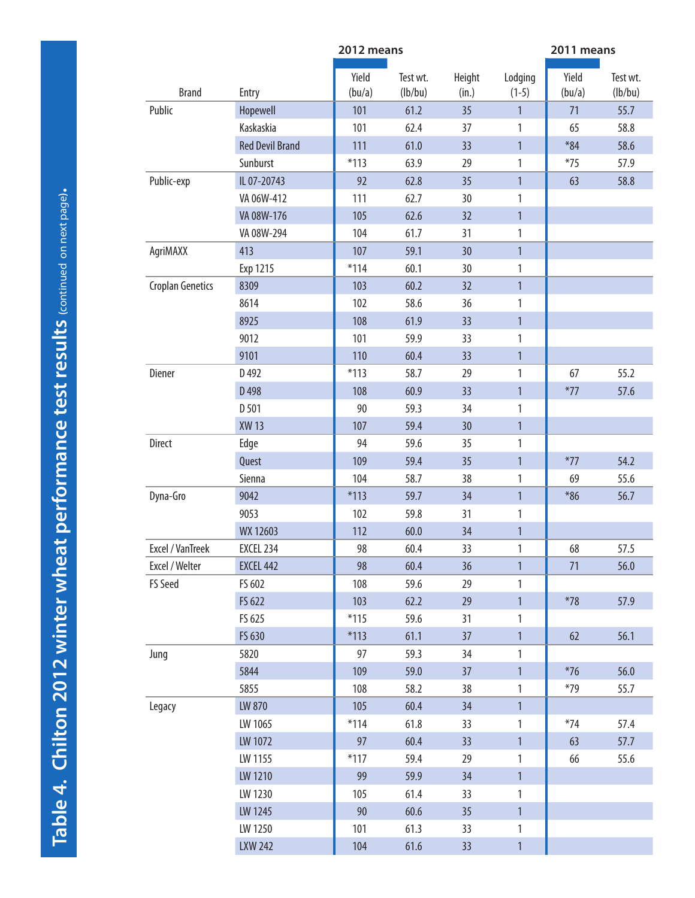<span id="page-7-0"></span>

|                  |                        | 2012 means      |                     |                 | 2011 means         |                 |                     |  |
|------------------|------------------------|-----------------|---------------------|-----------------|--------------------|-----------------|---------------------|--|
| <b>Brand</b>     | Entry                  | Yield<br>(bu/a) | Test wt.<br>(lb/bu) | Height<br>(in.) | Lodging<br>$(1-5)$ | Yield<br>(bu/a) | Test wt.<br>(lb/bu) |  |
| Public           | Hopewell               | 101             | 61.2                | 35              | $\mathbf{1}$       | 71              | 55.7                |  |
|                  | Kaskaskia              | 101             | 62.4                | 37              | 1                  | 65              | 58.8                |  |
|                  | <b>Red Devil Brand</b> | 111             | 61.0                | 33              | $\mathbf{1}$       | $*84$           | 58.6                |  |
|                  | Sunburst               | $*113$          | 63.9                | 29              | 1                  | $*75$           | 57.9                |  |
| Public-exp       | IL 07-20743            | 92              | 62.8                | 35              | $\mathbf{1}$       | 63              | 58.8                |  |
|                  | VA 06W-412             | 111             | 62.7                | 30              | 1                  |                 |                     |  |
|                  | VA 08W-176             | 105             | 62.6                | 32              | $\mathbf{1}$       |                 |                     |  |
|                  | VA 08W-294             | 104             | 61.7                | 31              | 1                  |                 |                     |  |
| AgriMAXX         | 413                    | 107             | 59.1                | 30              | $\mathbf{1}$       |                 |                     |  |
|                  | Exp 1215               | $*114$          | 60.1                | 30              | $\mathbf{1}$       |                 |                     |  |
| Croplan Genetics | 8309                   | 103             | 60.2                | 32              | $\mathbf{1}$       |                 |                     |  |
|                  | 8614                   | 102             | 58.6                | 36              | 1                  |                 |                     |  |
|                  | 8925                   | 108             | 61.9                | 33              | $\mathbf{1}$       |                 |                     |  |
|                  | 9012                   | 101             | 59.9                | 33              | 1                  |                 |                     |  |
|                  | 9101                   | 110             | 60.4                | 33              | $\mathbf{1}$       |                 |                     |  |
| Diener           | D 492                  | $*113$          | 58.7                | 29              | 1                  | 67              | 55.2                |  |
|                  | D 498                  | 108             | 60.9                | 33              | $\mathbf{1}$       | $*77$           | 57.6                |  |
|                  | D 501                  | 90              | 59.3                | 34              | 1                  |                 |                     |  |
|                  | <b>XW13</b>            | 107             | 59.4                | 30              | $\mathbf{1}$       |                 |                     |  |
| <b>Direct</b>    | Edge                   | 94              | 59.6                | 35              | 1                  |                 |                     |  |
|                  | Quest                  | 109             | 59.4                | 35              | $\mathbf{1}$       | $*77$           | 54.2                |  |
|                  | Sienna                 | 104             | 58.7                | 38              | 1                  | 69              | 55.6                |  |
| Dyna-Gro         | 9042                   | $*113$          | 59.7                | 34              | $\mathbf{1}$       | $*86$           | 56.7                |  |
|                  | 9053                   | 102             | 59.8                | 31              | 1                  |                 |                     |  |
|                  | WX 12603               | 112             | 60.0                | 34              | $\mathbf{1}$       |                 |                     |  |
| Excel / VanTreek | EXCEL 234              | 98              | 60.4                | 33              | 1                  | 68              | 57.5                |  |
| Excel / Welter   | <b>EXCEL 442</b>       | 98              | 60.4                | 36              | $\mathbf{1}$       | 71              | 56.0                |  |
| FS Seed          | FS 602                 | 108             | 59.6                | 29              | 1                  |                 |                     |  |
|                  | FS 622                 | 103             | 62.2                | 29              | $\mathbf{1}$       | $*78$           | 57.9                |  |
|                  | FS 625                 | $*115$          | 59.6                | 31              | 1                  |                 |                     |  |
|                  | FS 630                 | $*113$          | 61.1                | 37              | $\mathbf{1}$       | 62              | 56.1                |  |
| Jung             | 5820                   | 97              | 59.3                | 34              | $\mathbf{1}$       |                 |                     |  |
|                  | 5844                   | 109             | 59.0                | 37              | $\mathbf{1}$       | $*76$           | 56.0                |  |
|                  | 5855                   | 108             | 58.2                | 38              | $\mathbf{1}$       | $*79$           | 55.7                |  |
| Legacy           | LW 870                 | 105             | 60.4                | 34              | $\mathbf{1}$       |                 |                     |  |
|                  | LW 1065                | $*114$          | 61.8                | 33              | $\mathbf{1}$       | $*74$           | 57.4                |  |
|                  | LW 1072                | 97              | 60.4                | 33              | $\mathbf{1}$       | 63              | 57.7                |  |
|                  | LW 1155                | $*117$          | 59.4                | 29              | $\mathbf{1}$       | 66              | 55.6                |  |
|                  | LW 1210                | 99              | 59.9                | 34              | $\mathbf{1}$       |                 |                     |  |
|                  | LW 1230                | 105             | 61.4                | 33              | 1                  |                 |                     |  |
|                  | LW 1245                | 90              | 60.6                | 35              | $\mathbf{1}$       |                 |                     |  |
|                  | LW 1250                | 101             | 61.3                | 33              | 1                  |                 |                     |  |
|                  | <b>LXW 242</b>         | 104             | 61.6                | 33              | $\mathbf{1}$       |                 |                     |  |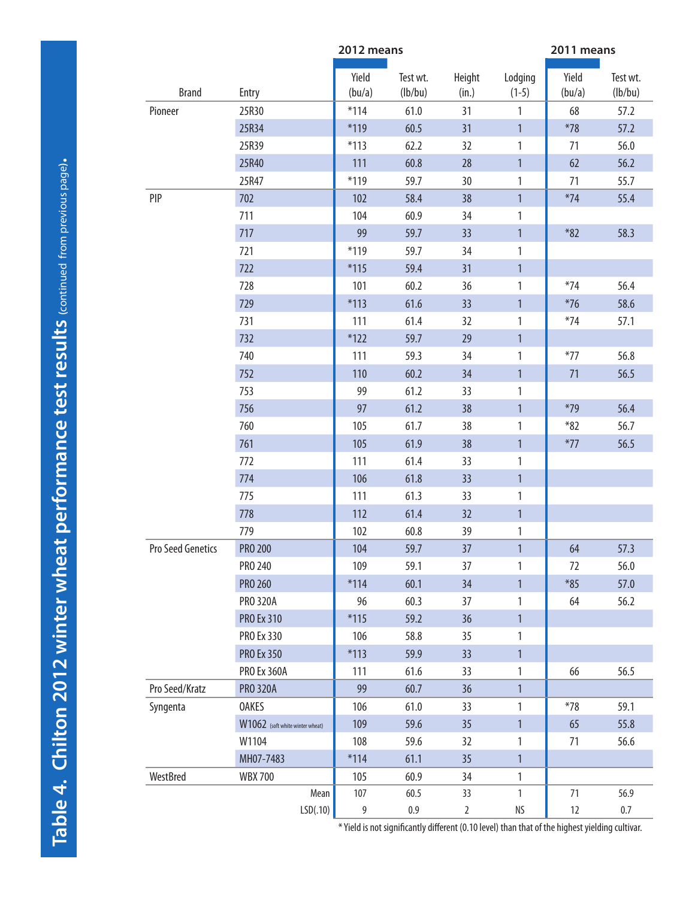|                   |                                 | 2012 means      |                     |                 | 2011 means         |                 |                     |  |
|-------------------|---------------------------------|-----------------|---------------------|-----------------|--------------------|-----------------|---------------------|--|
| <b>Brand</b>      | Entry                           | Yield<br>(bu/a) | Test wt.<br>(lb/bu) | Height<br>(in.) | Lodging<br>$(1-5)$ | Yield<br>(bu/a) | Test wt.<br>(lb/bu) |  |
| Pioneer           | 25R30                           | $*114$          | 61.0                | 31              | 1                  | 68              | 57.2                |  |
|                   | 25R34                           | $*119$          | 60.5                | 31              | $\mathbf{1}$       | $*78$           | 57.2                |  |
|                   | 25R39                           | $*113$          | 62.2                | 32              | 1                  | 71              | 56.0                |  |
|                   | 25R40                           | 111             | 60.8                | 28              | $\mathbf{1}$       | 62              | 56.2                |  |
|                   | 25R47                           | $*119$          | 59.7                | 30              | 1                  | 71              | 55.7                |  |
| PIP               | 702                             | 102             | 58.4                | 38              | $\mathbf{1}$       | $*74$           | 55.4                |  |
|                   | 711                             | 104             | 60.9                | 34              | 1                  |                 |                     |  |
|                   | 717                             | 99              | 59.7                | 33              | $\mathbf{1}$       | $*82$           | 58.3                |  |
|                   | 721                             | $*119$          | 59.7                | 34              | 1                  |                 |                     |  |
|                   | 722                             | $*115$          | 59.4                | 31              | $\mathbf{1}$       |                 |                     |  |
|                   | 728                             | 101             | 60.2                | 36              | 1                  | $*74$           | 56.4                |  |
|                   | 729                             | $*113$          | 61.6                | 33              | $\mathbf{1}$       | $*76$           | 58.6                |  |
|                   | 731                             | 111             | 61.4                | 32              | 1                  | $*74$           | 57.1                |  |
|                   | 732                             | $*122$          | 59.7                | 29              | $\mathbf{1}$       |                 |                     |  |
|                   | 740                             | 111             | 59.3                | 34              | 1                  | $*77$           | 56.8                |  |
|                   | 752                             | 110             | 60.2                | 34              | $\mathbf{1}$       | 71              | 56.5                |  |
|                   | 753                             | 99              | 61.2                | 33              | 1                  |                 |                     |  |
|                   | 756                             | 97              | 61.2                | 38              | $\mathbf{1}$       | $*79$           | 56.4                |  |
|                   | 760                             | 105             | 61.7                | 38              | 1                  | $*82$           | 56.7                |  |
|                   | 761                             | 105             | 61.9                | 38              | $\mathbf{1}$       | $*77$           | 56.5                |  |
|                   | 772                             | 111             | 61.4                | 33              | 1                  |                 |                     |  |
|                   | 774                             | 106             | 61.8                | 33              | $\mathbf{1}$       |                 |                     |  |
|                   | 775                             | 111             | 61.3                | 33              | 1                  |                 |                     |  |
|                   | 778                             | 112             | 61.4                | 32              | $\mathbf{1}$       |                 |                     |  |
|                   | 779                             | 102             | 60.8                | 39              | 1                  |                 |                     |  |
| Pro Seed Genetics | PRO 200                         | 104             | 59.7                | 37              | $\mathbf{1}$       | 64              | 57.3                |  |
|                   | PRO 240                         | 109             | 59.1                | 37              | 1                  | 72              | 56.0                |  |
|                   | PRO 260                         | $*114$          | 60.1                | 34              | $\mathbf{1}$       | $*85$           | 57.0                |  |
|                   | <b>PRO 320A</b>                 | 96              | 60.3                | 37              | 1                  | 64              | 56.2                |  |
|                   | PRO Ex 310                      | $*115$          | 59.2                | 36              | 1                  |                 |                     |  |
|                   | PRO Ex 330                      | 106             | 58.8                | 35              | 1                  |                 |                     |  |
|                   | <b>PRO Ex 350</b>               | $*113$          | 59.9                | 33              | $\mathbf{1}$       |                 |                     |  |
|                   | <b>PRO Ex 360A</b>              | 111             | 61.6                | 33              | 1                  | 66              | 56.5                |  |
| Pro Seed/Kratz    | <b>PRO 320A</b>                 | 99              | 60.7                | 36              | $\mathbf{1}$       |                 |                     |  |
| Syngenta          | <b>OAKES</b>                    | 106             | 61.0                | 33              | 1                  | $*78$           | 59.1                |  |
|                   | W1062 (soft white winter wheat) | 109             | 59.6                | 35              | $\mathbf{1}$       | 65              | 55.8                |  |
|                   | W1104                           | 108             | 59.6                | 32              | 1                  | 71              | 56.6                |  |
|                   | MH07-7483                       | $*114$          | 61.1                | 35              | $\mathbf{1}$       |                 |                     |  |
| WestBred          | <b>WBX 700</b>                  | 105             | 60.9                | 34              | 1                  |                 |                     |  |
|                   | Mean                            | 107             | 60.5                | 33              | $\mathbf{1}$       | 71              | 56.9                |  |
|                   | LSD(.10)                        | 9               | $0.9\,$             | $\overline{2}$  | <b>NS</b>          | 12              | $0.7\,$             |  |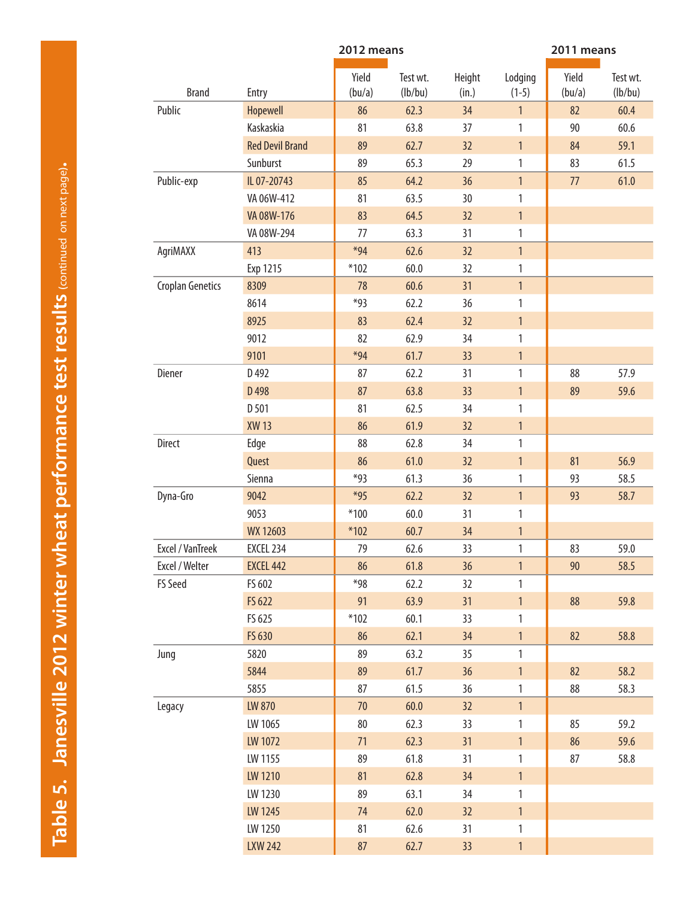| Yield<br>Yield<br>Height<br>Test wt.<br>Lodging<br><b>Brand</b><br>(lb/bu)<br>Entry<br>(bu/a)<br>(in.)<br>$(1-5)$<br>(bu/a)<br>Public<br><b>Hopewell</b><br>86<br>34<br>$\mathbf{1}$<br>82<br>62.3<br><b>Kaskaskia</b><br>63.8<br>81<br>90<br>37<br>1<br><b>Red Devil Brand</b><br>62.7<br>32<br>$\mathbf{1}$<br>89<br>84<br>Sunburst<br>89<br>65.3<br>29<br>83<br>$\mathbf{1}$<br>IL 07-20743<br>64.2<br>36<br>$\mathbf{1}$<br>Public-exp<br>85<br>77<br>63.5<br>VA 06W-412<br>81<br>30<br>$\mathbf{1}$<br>VA 08W-176<br>83<br>64.5<br>32<br>$\mathbf{1}$<br>63.3<br>VA 08W-294<br>77<br>31<br>1<br>413<br>$*94$<br>62.6<br>$\mathbf{1}$<br>AgriMAXX<br>32<br>$*102$<br>60.0<br>32<br>1<br>Exp 1215<br><b>Croplan Genetics</b><br>8309<br>60.6<br>78<br>31<br>$\mathbf{1}$<br>*93<br>8614<br>62.2<br>36<br>$\mathbf{1}$<br>8925<br>83<br>62.4<br>32<br>$\mathbf{1}$<br>9012<br>82<br>62.9<br>34<br>$\mathbf{1}$<br>9101<br>$*94$<br>61.7<br>33 <sup>2</sup><br>$\mathbf{1}$<br>Diener<br>88<br>D 492<br>87<br>62.2<br>31<br>$\mathbf{1}$<br>D 498<br>87<br>63.8<br>33<br>$\mathbf{1}$<br>89<br>D 501<br>81<br>62.5<br>34<br>1<br><b>XW13</b><br>61.9<br>$\mathbf{1}$<br>86<br>32<br><b>Direct</b><br>88<br>62.8<br>34<br>$\mathbf{1}$<br>Edge<br>Quest<br>81<br>86<br>61.0<br>32<br>$\mathbf{1}$<br>*93<br>61.3<br>Sienna<br>36<br>1<br>93<br>9042<br>$*95$<br>Dyna-Gro<br>62.2<br>32<br>$\mathbf{1}$<br>93<br>$*100$<br>60.0<br>9053<br>31<br>1<br>WX 12603<br>$*102$<br>60.7<br>34<br>$\mathbf{1}$<br><b>Excel / VanTreek</b><br>33<br>1<br>EXCEL 234<br>79<br>62.6<br>83<br>Excel / Welter<br><b>EXCEL 442</b><br>86<br>61.8<br>36<br>$\mathbf{1}$<br>90<br>58.5<br>FS Seed<br>FS 602<br>$*98$<br>62.2<br>32<br>$\mathbf{1}$<br>FS 622<br>91<br>63.9<br>31<br>$\mathbf{1}$<br>88<br>59.8<br>FS 625<br>60.1<br>$*102$<br>33<br>1<br>FS 630<br>62.1<br>86<br>34<br>$\mathbf{1}$<br>82<br>89<br>5820<br>63.2<br>35<br>$\mathbf{1}$<br>Jung<br>5844<br>89<br>61.7<br>36<br>$\mathbf{1}$<br>82<br>58.2<br>61.5<br>58.3<br>5855<br>87<br>36<br>88<br>$\mathbf{1}$<br>LW 870<br>70<br>60.0<br>$\mathbf{1}$<br>Legacy<br>32<br>LW 1065<br>80<br>62.3<br>33<br>$\mathbf{1}$<br>85 |  | 2012 means |  | 2011 means |                     |  |  |
|------------------------------------------------------------------------------------------------------------------------------------------------------------------------------------------------------------------------------------------------------------------------------------------------------------------------------------------------------------------------------------------------------------------------------------------------------------------------------------------------------------------------------------------------------------------------------------------------------------------------------------------------------------------------------------------------------------------------------------------------------------------------------------------------------------------------------------------------------------------------------------------------------------------------------------------------------------------------------------------------------------------------------------------------------------------------------------------------------------------------------------------------------------------------------------------------------------------------------------------------------------------------------------------------------------------------------------------------------------------------------------------------------------------------------------------------------------------------------------------------------------------------------------------------------------------------------------------------------------------------------------------------------------------------------------------------------------------------------------------------------------------------------------------------------------------------------------------------------------------------------------------------------------------------------------------------------------------------------------------------------------------------------------------------------------------------------------------------------------------------------------------------------------------------------|--|------------|--|------------|---------------------|--|--|
|                                                                                                                                                                                                                                                                                                                                                                                                                                                                                                                                                                                                                                                                                                                                                                                                                                                                                                                                                                                                                                                                                                                                                                                                                                                                                                                                                                                                                                                                                                                                                                                                                                                                                                                                                                                                                                                                                                                                                                                                                                                                                                                                                                              |  |            |  |            | Test wt.<br>(lb/bu) |  |  |
|                                                                                                                                                                                                                                                                                                                                                                                                                                                                                                                                                                                                                                                                                                                                                                                                                                                                                                                                                                                                                                                                                                                                                                                                                                                                                                                                                                                                                                                                                                                                                                                                                                                                                                                                                                                                                                                                                                                                                                                                                                                                                                                                                                              |  |            |  |            | 60.4                |  |  |
|                                                                                                                                                                                                                                                                                                                                                                                                                                                                                                                                                                                                                                                                                                                                                                                                                                                                                                                                                                                                                                                                                                                                                                                                                                                                                                                                                                                                                                                                                                                                                                                                                                                                                                                                                                                                                                                                                                                                                                                                                                                                                                                                                                              |  |            |  |            | 60.6                |  |  |
|                                                                                                                                                                                                                                                                                                                                                                                                                                                                                                                                                                                                                                                                                                                                                                                                                                                                                                                                                                                                                                                                                                                                                                                                                                                                                                                                                                                                                                                                                                                                                                                                                                                                                                                                                                                                                                                                                                                                                                                                                                                                                                                                                                              |  |            |  |            | 59.1                |  |  |
|                                                                                                                                                                                                                                                                                                                                                                                                                                                                                                                                                                                                                                                                                                                                                                                                                                                                                                                                                                                                                                                                                                                                                                                                                                                                                                                                                                                                                                                                                                                                                                                                                                                                                                                                                                                                                                                                                                                                                                                                                                                                                                                                                                              |  |            |  |            | 61.5                |  |  |
|                                                                                                                                                                                                                                                                                                                                                                                                                                                                                                                                                                                                                                                                                                                                                                                                                                                                                                                                                                                                                                                                                                                                                                                                                                                                                                                                                                                                                                                                                                                                                                                                                                                                                                                                                                                                                                                                                                                                                                                                                                                                                                                                                                              |  |            |  |            | 61.0                |  |  |
|                                                                                                                                                                                                                                                                                                                                                                                                                                                                                                                                                                                                                                                                                                                                                                                                                                                                                                                                                                                                                                                                                                                                                                                                                                                                                                                                                                                                                                                                                                                                                                                                                                                                                                                                                                                                                                                                                                                                                                                                                                                                                                                                                                              |  |            |  |            |                     |  |  |
|                                                                                                                                                                                                                                                                                                                                                                                                                                                                                                                                                                                                                                                                                                                                                                                                                                                                                                                                                                                                                                                                                                                                                                                                                                                                                                                                                                                                                                                                                                                                                                                                                                                                                                                                                                                                                                                                                                                                                                                                                                                                                                                                                                              |  |            |  |            |                     |  |  |
|                                                                                                                                                                                                                                                                                                                                                                                                                                                                                                                                                                                                                                                                                                                                                                                                                                                                                                                                                                                                                                                                                                                                                                                                                                                                                                                                                                                                                                                                                                                                                                                                                                                                                                                                                                                                                                                                                                                                                                                                                                                                                                                                                                              |  |            |  |            |                     |  |  |
|                                                                                                                                                                                                                                                                                                                                                                                                                                                                                                                                                                                                                                                                                                                                                                                                                                                                                                                                                                                                                                                                                                                                                                                                                                                                                                                                                                                                                                                                                                                                                                                                                                                                                                                                                                                                                                                                                                                                                                                                                                                                                                                                                                              |  |            |  |            |                     |  |  |
|                                                                                                                                                                                                                                                                                                                                                                                                                                                                                                                                                                                                                                                                                                                                                                                                                                                                                                                                                                                                                                                                                                                                                                                                                                                                                                                                                                                                                                                                                                                                                                                                                                                                                                                                                                                                                                                                                                                                                                                                                                                                                                                                                                              |  |            |  |            |                     |  |  |
|                                                                                                                                                                                                                                                                                                                                                                                                                                                                                                                                                                                                                                                                                                                                                                                                                                                                                                                                                                                                                                                                                                                                                                                                                                                                                                                                                                                                                                                                                                                                                                                                                                                                                                                                                                                                                                                                                                                                                                                                                                                                                                                                                                              |  |            |  |            |                     |  |  |
|                                                                                                                                                                                                                                                                                                                                                                                                                                                                                                                                                                                                                                                                                                                                                                                                                                                                                                                                                                                                                                                                                                                                                                                                                                                                                                                                                                                                                                                                                                                                                                                                                                                                                                                                                                                                                                                                                                                                                                                                                                                                                                                                                                              |  |            |  |            |                     |  |  |
|                                                                                                                                                                                                                                                                                                                                                                                                                                                                                                                                                                                                                                                                                                                                                                                                                                                                                                                                                                                                                                                                                                                                                                                                                                                                                                                                                                                                                                                                                                                                                                                                                                                                                                                                                                                                                                                                                                                                                                                                                                                                                                                                                                              |  |            |  |            |                     |  |  |
|                                                                                                                                                                                                                                                                                                                                                                                                                                                                                                                                                                                                                                                                                                                                                                                                                                                                                                                                                                                                                                                                                                                                                                                                                                                                                                                                                                                                                                                                                                                                                                                                                                                                                                                                                                                                                                                                                                                                                                                                                                                                                                                                                                              |  |            |  |            |                     |  |  |
|                                                                                                                                                                                                                                                                                                                                                                                                                                                                                                                                                                                                                                                                                                                                                                                                                                                                                                                                                                                                                                                                                                                                                                                                                                                                                                                                                                                                                                                                                                                                                                                                                                                                                                                                                                                                                                                                                                                                                                                                                                                                                                                                                                              |  |            |  |            |                     |  |  |
|                                                                                                                                                                                                                                                                                                                                                                                                                                                                                                                                                                                                                                                                                                                                                                                                                                                                                                                                                                                                                                                                                                                                                                                                                                                                                                                                                                                                                                                                                                                                                                                                                                                                                                                                                                                                                                                                                                                                                                                                                                                                                                                                                                              |  |            |  |            | 57.9                |  |  |
|                                                                                                                                                                                                                                                                                                                                                                                                                                                                                                                                                                                                                                                                                                                                                                                                                                                                                                                                                                                                                                                                                                                                                                                                                                                                                                                                                                                                                                                                                                                                                                                                                                                                                                                                                                                                                                                                                                                                                                                                                                                                                                                                                                              |  |            |  |            | 59.6                |  |  |
|                                                                                                                                                                                                                                                                                                                                                                                                                                                                                                                                                                                                                                                                                                                                                                                                                                                                                                                                                                                                                                                                                                                                                                                                                                                                                                                                                                                                                                                                                                                                                                                                                                                                                                                                                                                                                                                                                                                                                                                                                                                                                                                                                                              |  |            |  |            |                     |  |  |
|                                                                                                                                                                                                                                                                                                                                                                                                                                                                                                                                                                                                                                                                                                                                                                                                                                                                                                                                                                                                                                                                                                                                                                                                                                                                                                                                                                                                                                                                                                                                                                                                                                                                                                                                                                                                                                                                                                                                                                                                                                                                                                                                                                              |  |            |  |            |                     |  |  |
|                                                                                                                                                                                                                                                                                                                                                                                                                                                                                                                                                                                                                                                                                                                                                                                                                                                                                                                                                                                                                                                                                                                                                                                                                                                                                                                                                                                                                                                                                                                                                                                                                                                                                                                                                                                                                                                                                                                                                                                                                                                                                                                                                                              |  |            |  |            |                     |  |  |
|                                                                                                                                                                                                                                                                                                                                                                                                                                                                                                                                                                                                                                                                                                                                                                                                                                                                                                                                                                                                                                                                                                                                                                                                                                                                                                                                                                                                                                                                                                                                                                                                                                                                                                                                                                                                                                                                                                                                                                                                                                                                                                                                                                              |  |            |  |            | 56.9                |  |  |
|                                                                                                                                                                                                                                                                                                                                                                                                                                                                                                                                                                                                                                                                                                                                                                                                                                                                                                                                                                                                                                                                                                                                                                                                                                                                                                                                                                                                                                                                                                                                                                                                                                                                                                                                                                                                                                                                                                                                                                                                                                                                                                                                                                              |  |            |  |            | 58.5                |  |  |
|                                                                                                                                                                                                                                                                                                                                                                                                                                                                                                                                                                                                                                                                                                                                                                                                                                                                                                                                                                                                                                                                                                                                                                                                                                                                                                                                                                                                                                                                                                                                                                                                                                                                                                                                                                                                                                                                                                                                                                                                                                                                                                                                                                              |  |            |  |            | 58.7                |  |  |
|                                                                                                                                                                                                                                                                                                                                                                                                                                                                                                                                                                                                                                                                                                                                                                                                                                                                                                                                                                                                                                                                                                                                                                                                                                                                                                                                                                                                                                                                                                                                                                                                                                                                                                                                                                                                                                                                                                                                                                                                                                                                                                                                                                              |  |            |  |            |                     |  |  |
|                                                                                                                                                                                                                                                                                                                                                                                                                                                                                                                                                                                                                                                                                                                                                                                                                                                                                                                                                                                                                                                                                                                                                                                                                                                                                                                                                                                                                                                                                                                                                                                                                                                                                                                                                                                                                                                                                                                                                                                                                                                                                                                                                                              |  |            |  |            |                     |  |  |
|                                                                                                                                                                                                                                                                                                                                                                                                                                                                                                                                                                                                                                                                                                                                                                                                                                                                                                                                                                                                                                                                                                                                                                                                                                                                                                                                                                                                                                                                                                                                                                                                                                                                                                                                                                                                                                                                                                                                                                                                                                                                                                                                                                              |  |            |  |            | 59.0                |  |  |
|                                                                                                                                                                                                                                                                                                                                                                                                                                                                                                                                                                                                                                                                                                                                                                                                                                                                                                                                                                                                                                                                                                                                                                                                                                                                                                                                                                                                                                                                                                                                                                                                                                                                                                                                                                                                                                                                                                                                                                                                                                                                                                                                                                              |  |            |  |            |                     |  |  |
|                                                                                                                                                                                                                                                                                                                                                                                                                                                                                                                                                                                                                                                                                                                                                                                                                                                                                                                                                                                                                                                                                                                                                                                                                                                                                                                                                                                                                                                                                                                                                                                                                                                                                                                                                                                                                                                                                                                                                                                                                                                                                                                                                                              |  |            |  |            |                     |  |  |
|                                                                                                                                                                                                                                                                                                                                                                                                                                                                                                                                                                                                                                                                                                                                                                                                                                                                                                                                                                                                                                                                                                                                                                                                                                                                                                                                                                                                                                                                                                                                                                                                                                                                                                                                                                                                                                                                                                                                                                                                                                                                                                                                                                              |  |            |  |            |                     |  |  |
|                                                                                                                                                                                                                                                                                                                                                                                                                                                                                                                                                                                                                                                                                                                                                                                                                                                                                                                                                                                                                                                                                                                                                                                                                                                                                                                                                                                                                                                                                                                                                                                                                                                                                                                                                                                                                                                                                                                                                                                                                                                                                                                                                                              |  |            |  |            |                     |  |  |
|                                                                                                                                                                                                                                                                                                                                                                                                                                                                                                                                                                                                                                                                                                                                                                                                                                                                                                                                                                                                                                                                                                                                                                                                                                                                                                                                                                                                                                                                                                                                                                                                                                                                                                                                                                                                                                                                                                                                                                                                                                                                                                                                                                              |  |            |  |            | 58.8                |  |  |
|                                                                                                                                                                                                                                                                                                                                                                                                                                                                                                                                                                                                                                                                                                                                                                                                                                                                                                                                                                                                                                                                                                                                                                                                                                                                                                                                                                                                                                                                                                                                                                                                                                                                                                                                                                                                                                                                                                                                                                                                                                                                                                                                                                              |  |            |  |            |                     |  |  |
|                                                                                                                                                                                                                                                                                                                                                                                                                                                                                                                                                                                                                                                                                                                                                                                                                                                                                                                                                                                                                                                                                                                                                                                                                                                                                                                                                                                                                                                                                                                                                                                                                                                                                                                                                                                                                                                                                                                                                                                                                                                                                                                                                                              |  |            |  |            |                     |  |  |
|                                                                                                                                                                                                                                                                                                                                                                                                                                                                                                                                                                                                                                                                                                                                                                                                                                                                                                                                                                                                                                                                                                                                                                                                                                                                                                                                                                                                                                                                                                                                                                                                                                                                                                                                                                                                                                                                                                                                                                                                                                                                                                                                                                              |  |            |  |            |                     |  |  |
|                                                                                                                                                                                                                                                                                                                                                                                                                                                                                                                                                                                                                                                                                                                                                                                                                                                                                                                                                                                                                                                                                                                                                                                                                                                                                                                                                                                                                                                                                                                                                                                                                                                                                                                                                                                                                                                                                                                                                                                                                                                                                                                                                                              |  |            |  |            |                     |  |  |
|                                                                                                                                                                                                                                                                                                                                                                                                                                                                                                                                                                                                                                                                                                                                                                                                                                                                                                                                                                                                                                                                                                                                                                                                                                                                                                                                                                                                                                                                                                                                                                                                                                                                                                                                                                                                                                                                                                                                                                                                                                                                                                                                                                              |  |            |  |            | 59.2                |  |  |
| LW 1072<br>62.3<br>86<br>71<br>31<br>$\mathbf{1}$                                                                                                                                                                                                                                                                                                                                                                                                                                                                                                                                                                                                                                                                                                                                                                                                                                                                                                                                                                                                                                                                                                                                                                                                                                                                                                                                                                                                                                                                                                                                                                                                                                                                                                                                                                                                                                                                                                                                                                                                                                                                                                                            |  |            |  |            | 59.6                |  |  |
| LW 1155<br>89<br>61.8<br>31<br>$\mathbf{1}$<br>87                                                                                                                                                                                                                                                                                                                                                                                                                                                                                                                                                                                                                                                                                                                                                                                                                                                                                                                                                                                                                                                                                                                                                                                                                                                                                                                                                                                                                                                                                                                                                                                                                                                                                                                                                                                                                                                                                                                                                                                                                                                                                                                            |  |            |  |            | 58.8                |  |  |
| LW 1210<br>81<br>62.8<br>$\mathbf{1}$<br>34                                                                                                                                                                                                                                                                                                                                                                                                                                                                                                                                                                                                                                                                                                                                                                                                                                                                                                                                                                                                                                                                                                                                                                                                                                                                                                                                                                                                                                                                                                                                                                                                                                                                                                                                                                                                                                                                                                                                                                                                                                                                                                                                  |  |            |  |            |                     |  |  |
| LW 1230<br>89<br>63.1<br>34<br>$\mathbf{1}$                                                                                                                                                                                                                                                                                                                                                                                                                                                                                                                                                                                                                                                                                                                                                                                                                                                                                                                                                                                                                                                                                                                                                                                                                                                                                                                                                                                                                                                                                                                                                                                                                                                                                                                                                                                                                                                                                                                                                                                                                                                                                                                                  |  |            |  |            |                     |  |  |
| LW 1245<br>74<br>62.0<br>32<br>$\mathbf{1}$                                                                                                                                                                                                                                                                                                                                                                                                                                                                                                                                                                                                                                                                                                                                                                                                                                                                                                                                                                                                                                                                                                                                                                                                                                                                                                                                                                                                                                                                                                                                                                                                                                                                                                                                                                                                                                                                                                                                                                                                                                                                                                                                  |  |            |  |            |                     |  |  |
| LW 1250<br>81<br>62.6<br>31<br>$\mathbf{1}$                                                                                                                                                                                                                                                                                                                                                                                                                                                                                                                                                                                                                                                                                                                                                                                                                                                                                                                                                                                                                                                                                                                                                                                                                                                                                                                                                                                                                                                                                                                                                                                                                                                                                                                                                                                                                                                                                                                                                                                                                                                                                                                                  |  |            |  |            |                     |  |  |
| <b>LXW 242</b><br>87<br>62.7<br>33<br>$\mathbf{1}$                                                                                                                                                                                                                                                                                                                                                                                                                                                                                                                                                                                                                                                                                                                                                                                                                                                                                                                                                                                                                                                                                                                                                                                                                                                                                                                                                                                                                                                                                                                                                                                                                                                                                                                                                                                                                                                                                                                                                                                                                                                                                                                           |  |            |  |            |                     |  |  |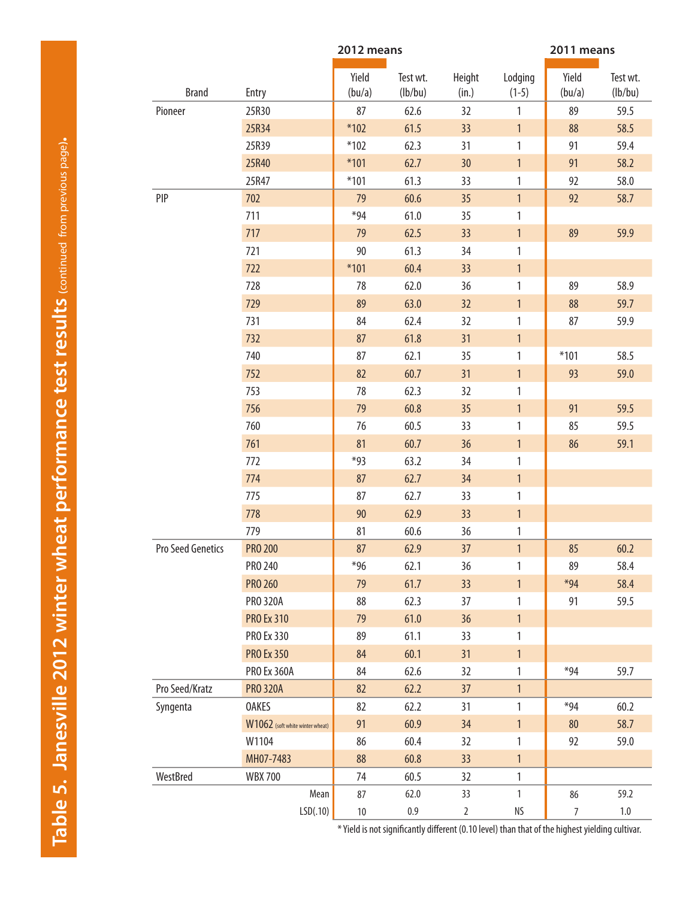|                   |                                 | 2012 means      |                     |                 |                    | 2011 means      |                     |
|-------------------|---------------------------------|-----------------|---------------------|-----------------|--------------------|-----------------|---------------------|
| <b>Brand</b>      | Entry                           | Yield<br>(bu/a) | Test wt.<br>(lb/bu) | Height<br>(in.) | Lodging<br>$(1-5)$ | Yield<br>(bu/a) | Test wt.<br>(lb/bu) |
| Pioneer           | 25R30                           | 87              | 62.6                | 32              | 1                  | 89              | 59.5                |
|                   | 25R34                           | $*102$          | 61.5                | 33              | $\mathbf{1}$       | 88              | 58.5                |
|                   | 25R39                           | $*102$          | 62.3                | 31              | 1                  | 91              | 59.4                |
|                   | 25R40                           | $*101$          | 62.7                | 30              | $\mathbf{1}$       | 91              | 58.2                |
|                   | 25R47                           | $*101$          | 61.3                | 33              | $\mathbf{1}$       | 92              | 58.0                |
| PIP               | 702                             | 79              | 60.6                | 35              | $\mathbf{1}$       | 92              | 58.7                |
|                   | 711                             | $*94$           | 61.0                | 35              | 1                  |                 |                     |
|                   | 717                             | 79              | 62.5                | 33              | $\mathbf{1}$       | 89              | 59.9                |
|                   | 721                             | 90              | 61.3                | 34              | 1                  |                 |                     |
|                   | 722                             | $*101$          | 60.4                | 33              | $\mathbf{1}$       |                 |                     |
|                   | 728                             | 78              | 62.0                | 36              | $\mathbf{1}$       | 89              | 58.9                |
|                   | 729                             | 89              | 63.0                | 32              | $\mathbf{1}$       | 88              | 59.7                |
|                   | 731                             | 84              | 62.4                | 32              | 1                  | 87              | 59.9                |
|                   | 732                             | 87              | 61.8                | 31              | $\mathbf{1}$       |                 |                     |
|                   | 740                             | 87              | 62.1                | 35              | $\mathbf{1}$       | $*101$          | 58.5                |
|                   | 752                             | 82              | 60.7                | 31              | $\mathbf{1}$       | 93              | 59.0                |
|                   | 753                             | 78              | 62.3                | 32              | 1                  |                 |                     |
|                   | 756                             | 79              | 60.8                | 35              | $\mathbf{1}$       | 91              | 59.5                |
|                   | 760                             | 76              | 60.5                | 33              | 1                  | 85              | 59.5                |
|                   | 761                             | 81              | 60.7                | 36              | $\mathbf{1}$       | 86              | 59.1                |
|                   | 772                             | $*93$           | 63.2                | 34              | $\mathbf{1}$       |                 |                     |
|                   | 774                             | 87              | 62.7                | 34              | $\mathbf{1}$       |                 |                     |
|                   | 775                             | 87              | 62.7                | 33              | $\mathbf{1}$       |                 |                     |
|                   | 778                             | 90              | 62.9                | 33              | $\mathbf{1}$       |                 |                     |
|                   | 779                             | 81              | 60.6                | 36              | $\mathbf{1}$       |                 |                     |
| Pro Seed Genetics | <b>PRO 200</b>                  | 87              | 62.9                | 37              | $\mathbf{1}$       | 85              | 60.2                |
|                   | PRO 240                         | $*96$           | 62.1                | 36              | 1                  | 89              | 58.4                |
|                   | <b>PRO 260</b>                  | 79              | 61.7                | 33              | $\mathbf{1}$       | $*94$           | 58.4                |
|                   | <b>PRO 320A</b>                 | 88              | 62.3                | 37              | 1                  | 91              | 59.5                |
|                   | <b>PRO Ex 310</b>               | 79              | 61.0                | 36              | $\mathbf{1}$       |                 |                     |
|                   | <b>PRO Ex 330</b>               | 89              | 61.1                | 33              | 1                  |                 |                     |
|                   | <b>PRO Ex 350</b>               | 84              | 60.1                | 31              | $\mathbf{1}$       |                 |                     |
|                   | <b>PRO Ex 360A</b>              | 84              | 62.6                | 32              | 1                  | $*94$           | 59.7                |
| Pro Seed/Kratz    | <b>PRO 320A</b>                 | 82              | 62.2                | 37              | $\mathbf{1}$       |                 |                     |
| Syngenta          | <b>OAKES</b>                    | 82              | 62.2                | 31              | $\mathbf{1}$       | $*94$           | 60.2                |
|                   | W1062 (soft white winter wheat) | 91              | 60.9                | 34              | $\mathbf{1}$       | 80              | 58.7                |
|                   | W1104                           | 86              | 60.4                | 32              | 1                  | 92              | 59.0                |
|                   | MH07-7483                       | 88              | 60.8                | 33              | $\mathbf{1}$       |                 |                     |
| WestBred          | <b>WBX 700</b>                  | 74              | 60.5                | 32              | 1                  |                 |                     |
|                   | Mean                            | 87              | 62.0                | 33              | $\mathbf{1}$       | 86              | 59.2                |
|                   | LSD(.10)                        | $10\,$          | $0.9\,$             | $\overline{2}$  | NS                 | $\overline{7}$  | $1.0\,$             |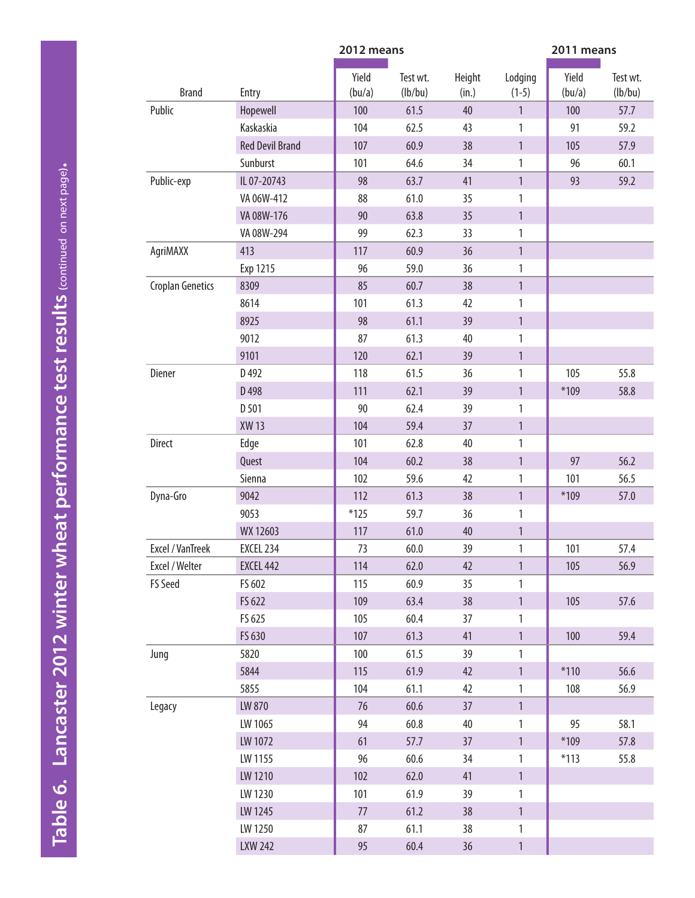<span id="page-11-0"></span>

|                         |                        | 2012 means      |                     |                 | 2011 means         |                 |                     |  |
|-------------------------|------------------------|-----------------|---------------------|-----------------|--------------------|-----------------|---------------------|--|
| <b>Brand</b>            | Entry                  | Yield<br>(bu/a) | Test wt.<br>(lb/bu) | Height<br>(in.) | Lodging<br>$(1-5)$ | Yield<br>(bu/a) | Test wt.<br>(lb/bu) |  |
| Public                  | Hopewell               | 100             | 61.5                | 40              | $\mathbf{1}$       | 100             | 57.7                |  |
|                         | Kaskaskia              | 104             | 62.5                | 43              | 1                  | 91              | 59.2                |  |
|                         | <b>Red Devil Brand</b> | 107             | 60.9                | 38              | $\mathbf{1}$       | 105             | 57.9                |  |
|                         | Sunburst               | 101             | 64.6                | 34              | 1                  | 96              | 60.1                |  |
| Public-exp              | IL 07-20743            | 98              | 63.7                | 41              | $\mathbf{1}$       | 93              | 59.2                |  |
|                         | VA 06W-412             | 88              | 61.0                | 35              | 1                  |                 |                     |  |
|                         | VA 08W-176             | 90              | 63.8                | 35              | $\mathbf{1}$       |                 |                     |  |
|                         | VA 08W-294             | 99              | 62.3                | 33              | $\mathbf{1}$       |                 |                     |  |
| AgriMAXX                | 413                    | 117             | 60.9                | 36              | $\mathbf{1}$       |                 |                     |  |
|                         | Exp 1215               | 96              | 59.0                | 36              | 1                  |                 |                     |  |
| <b>Croplan Genetics</b> | 8309                   | 85              | 60.7                | 38              | $\mathbf{1}$       |                 |                     |  |
|                         | 8614                   | 101             | 61.3                | 42              | 1                  |                 |                     |  |
|                         | 8925                   | 98              | 61.1                | 39              | $\mathbf{1}$       |                 |                     |  |
|                         | 9012                   | 87              | 61.3                | 40              | 1                  |                 |                     |  |
|                         | 9101                   | 120             | 62.1                | 39              | $\mathbf{1}$       |                 |                     |  |
| Diener                  | D492                   | 118             | 61.5                | 36              | 1                  | 105             | 55.8                |  |
|                         | D 498                  | 111             | 62.1                | 39              | $\mathbf{1}$       | $*109$          | 58.8                |  |
|                         | D 501                  | 90              | 62.4                | 39              | 1                  |                 |                     |  |
|                         | <b>XW13</b>            | 104             | 59.4                | 37              | $\mathbf{1}$       |                 |                     |  |
| <b>Direct</b>           | Edge                   | 101             | 62.8                | 40              | 1                  |                 |                     |  |
|                         | Quest                  | 104             | 60.2                | 38              | $\mathbf{1}$       | 97              | 56.2                |  |
|                         | Sienna                 | 102             | 59.6                | 42              | 1                  | 101             | 56.5                |  |
| Dyna-Gro                | 9042                   | 112             | 61.3                | 38              | $\mathbf{1}$       | $*109$          | 57.0                |  |
|                         | 9053                   | $*125$          | 59.7                | 36              | 1                  |                 |                     |  |
|                         | WX 12603               | 117             | 61.0                | 40              | $\mathbf{1}$       |                 |                     |  |
| Excel / VanTreek        | EXCEL 234              | 73              | 60.0                | 39              | 1                  | 101             | 57.4                |  |
| Excel / Welter          | <b>EXCEL 442</b>       | 114             | 62.0                | 42              | $\mathbf{1}$       | 105             | 56.9                |  |
| FS Seed                 | FS 602                 | 115             | 60.9                | 35 <sub>5</sub> | 1                  |                 |                     |  |
|                         | FS 622                 | 109             | 63.4                | 38              | $\mathbf{1}$       | 105             | 57.6                |  |
|                         | FS 625                 | 105             | 60.4                | 37              | 1                  |                 |                     |  |
|                         | FS 630                 | 107             | 61.3                | 41              | $\mathbf{1}$       | 100             | 59.4                |  |
| Jung                    | 5820                   | 100             | 61.5                | 39              | $\mathbf{1}$       |                 |                     |  |
|                         | 5844                   | 115             | 61.9                | 42              | $\mathbf{1}$       | $*110$          | 56.6                |  |
|                         | 5855                   | 104             | 61.1                | 42              | $\mathbf{1}$       | 108             | 56.9                |  |
| Legacy                  | LW 870                 | 76              | 60.6                | 37              | $\mathbf{1}$       |                 |                     |  |
|                         | LW 1065                | 94              | 60.8                | 40              | $\mathbf{1}$       | 95              | 58.1                |  |
|                         | LW 1072                | 61              | 57.7                | 37              | $\mathbf{1}$       | $*109$          | 57.8                |  |
|                         | LW 1155                | 96              | 60.6                | 34              | $\mathbf{1}$       | $*113$          | 55.8                |  |
|                         | LW 1210                | 102             | 62.0                | 41              | $\mathbf{1}$       |                 |                     |  |
|                         | LW 1230                | 101             | 61.9                | 39              | $\mathbf{1}$       |                 |                     |  |
|                         | LW 1245                | 77              | 61.2                | 38              | $\mathbf{1}$       |                 |                     |  |
|                         |                        |                 |                     |                 |                    |                 |                     |  |
|                         | LW 1250                | 87              | 61.1                | 38              | 1                  |                 |                     |  |